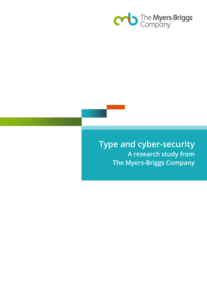



# **Type and cyber-security A research study from The Myers-Briggs Company**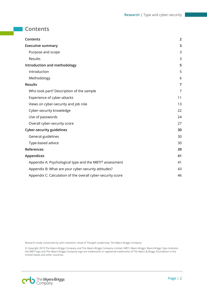### <span id="page-1-0"></span>**Contents**

| Contents                                                    | $\overline{2}$ |
|-------------------------------------------------------------|----------------|
| <b>Executive summary</b>                                    | 3              |
| Purpose and scope                                           | 3              |
| Results                                                     | 3              |
| Introduction and methodology                                | 5              |
| Introduction                                                | 5              |
| Methodology                                                 | 6              |
| <b>Results</b>                                              | 7              |
| Who took part? Description of the sample                    | 7              |
| Experience of cyber-attacks                                 | 11             |
| Views on cyber-security and job role                        | 13             |
| Cyber-security knowledge                                    | 22             |
| Use of passwords                                            | 24             |
| Overall cyber-security score                                | 27             |
| <b>Cyber-security guidelines</b>                            | 30             |
| General guidelines                                          | 30             |
| Type-based advice                                           | 30             |
| References                                                  | 39             |
| Appendices                                                  | 41             |
| Appendix A: Psychological type and the MBTI® assessment     | 41             |
| Appendix B: What are your cyber-security attitudes?         | 43             |
| Appendix C: Calculation of the overall cyber-security score | 46             |

Research study conducted by: John Hackston, Head of Thought Leadership, The Myers-Briggs Company

© Copyright 2019 The Myers-Briggs Company and The Myers-Briggs Company Limited. MBTI, Myers-Briggs, Myers-Briggs Type Indicator, the MBTI logo and The Myers-Briggs Company logo are trademarks or registered trademarks of The Myers & Briggs Foundation in the United States and other countries.

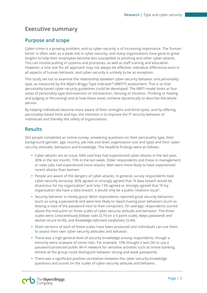## <span id="page-2-0"></span>**Executive summary**

### <span id="page-2-1"></span>**Purpose and scope**

Cyber-crime is a growing problem, and so cyber-security is of increasing importance. The 'human factor' is often seen as a weak link in cyber-security, and many organizations have gone to great lengths to help their employees become less susceptible to phishing and other cyber-attacks. This can involve putting in systems and processes, as well as staff training and education. However, a 'one size fits all' approach may not always be effective; individual differences exist in all aspects of human behavior, and cyber-security is unlikely to be an exception.

This study set out to examine the relationship between cyber-security behavior and personality type, as measured by the Myers-Briggs Type Indicator® (MBTI®) assessment. This is so that personality-based cyber-security guidelines could be developed. The MBTI model looks at four areas of personality type (Extraversion or Introversion, Sensing or Intuition, Thinking or Feeling and Judging or Perceiving) and at how these areas combine dynamically to describe the whole person.

By helping individuals become more aware of their strengths and blind spots, and by offering personality-based hints and tips, the intention is to improve the IT security behavior of individuals and thereby the safety of organizations.

### <span id="page-2-2"></span>**Results**

563 people completed an online survey, answering questions on their personality type, their background (gender, age, country, job role and level, organization size and type) and their cybersecurity attitudes, behaviors and knowledge. The headline findings were as follows:

- Cyber-attacks are an issue. 64% said they had experienced cyber-attacks in the last year, 30% in the last month, 15% in the last week. Older respondents and those in management or sales jobs had experienced more attacks. Men were more likely to have experienced recent attacks than women.
- People are aware of the dangers of cyber-attacks. In general, survey respondents took cyber-security seriously. 82% agreed or strongly agreed that "A data breach would be disastrous for my organization" and only 13% agreed or strongly agreed that "If my organization did have a data breach, it would only be a public relations issue".
- Security behavior is mostly good. Most respondents reported good security behaviors (such as using a password) and were less likely to report having poor behaviors (such as leaving a note of the password next to their computer). On average, respondents scored above the mid-point on three scales of cyber-security attitude and behavior. The three scales were *Conscientiously follows rules* (3.74 on a 5-point scale), *Keeps passwords and devices secure* (4.00), and *Knowledge-informed carefulness* (3.44).
- Short versions of each of these scales have been produced and individuals can use them to assess their own cyber-security attitudes and behavior.
- There was a high general level of security knowledge among respondents, though a minority were unaware of some risks. For example, 10% thought it was OK to use a password-protected public Wi-Fi network for sensitive activities such as online banking. Almost all the group could distinguish between strong and weak passwords.
- There was a significant positive correlation between the cyber-security knowledge questions and scores on the scales of cyber-security attitude and behavior.

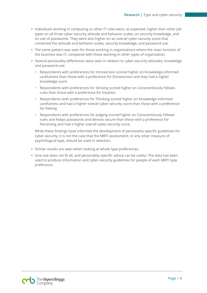- Individuals working in computing or other IT roles were, as expected, higher than other job types on all three cyber-security attitude and behavior scales, on security knowledge, and on use of passwords. They were also higher on an overall cyber-security score that combined the attitude and behavior scales, security knowledge, and password use.
- The same pattern was seen for those working in organizations where the main function of the business was IT, compared with those working in other types of organization.
- Several personality differences were seen in relation to cyber-security attitudes, knowledge and password use:
	- Respondents with preferences for Introversion scored higher on Knowledge-informed carefulness than those with a preference for Extraversion and they had a higher knowledge score
	- Respondents with preferences for Sensing scored higher on Conscientiously follows rules than those with a preference for Intuition
	- Respondents with preferences for Thinking scored higher on Knowledge-informed carefulness and had a higher overall cyber-security score than those with a preference for Feeling
	- Respondents with preferences for Judging scored higher on Conscientiously follows rules and Keeps passwords and devices secure than those with a preference for Perceiving and had a higher overall cyber-security score.

While these findings have informed the development of personality-specific guidelines for cyber-security, it is not the case that the MBTI assessment, or any other measure of psychological type, should be used in selection.

- Similar results are seen when looking at whole type preferences.
- One size does not fit all, and personality-specific advice can be useful. The data has been used to produce information and cyber-security guidelines for people of each MBTI type preference.

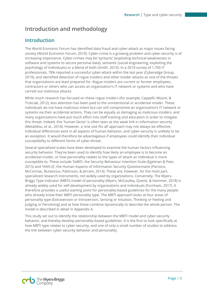## <span id="page-4-0"></span>**Introduction and methodology**

### <span id="page-4-1"></span>**Introduction**

The World Economic Forum has identified data fraud and cyber-attack as major issues facing society (World Economic Forum, 2019). Cyber-crime is a growing problem and cyber-security is of increasing importance. Cyber-crimes may be 'syntactic' (exploiting technical weaknesses in software and systems to secure personal data), semantic (social engineering, exploiting the psychology of individuals) or a blend of both (Smith, 2010). In a 2019 survey of 1,700 IT professionals, 78% reported a successful cyber-attack within the last year (Cyberedge Group, 2019), and identified detection of rogue insiders and other insider attacks as one of the threats that organizations are least prepared for. Rogue insiders are current or former employees, contractors or others who can access an organization's IT network or systems and who have carried out malicious attacks.

While much research has focused on these rogue insiders (for example, Cappelli, Moore, & Trzeciak, 2012), less attention has been paid to the unintentional or accidental insider. These individuals do not have malicious intent but can still compromise an organization's IT network or systems via their accidental actions. They can be equally as damaging as malicious insiders, and many organizations have put much effort into staff training and education in order to mitigate this threat. Indeed, this 'human factor' is often seen as the weak link in information security (Metalidou, et al., 2014). However, a 'one size fits all' approach may not always be effective. Individual differences exist in all aspects of human behavior, and cyber-security is unlikely to be an exception. It would therefore be advantageous if employees could identify their individual susceptibility to different forms of cyber-threat.

Several specialized scales have been developed to examine the human factors influencing security behavior. They've been used to identify how likely an employee is to become an accidental insider, or how personality relates to the types of attack an individual is more susceptible to. These include 'SeBIS', the Security Behaviour Intention Scale (Egelman & Peer, 2015) and 'HAIS-Q', the Human Aspects of Information Security Questionnaire (Parsons, McCormac, Butavicius, Pattinson, & Jerram, 2014). These are, however, for the most part, specialized research instruments, not widely used by organizations. Conversely, The Myers-Briggs Type Indicator (MBTI) model of personality (Myers, McCaulley, Quenk, & Hammer, 2018) is already widely used for self-development by organizations and individuals (Furnham, 2017). It therefore provides a useful starting point for personality-based guidelines for the many people who already know their MBTI personality type. The MBTI approach looks at four areas of personality type (Extraversion or Introversion, Sensing or Intuition, Thinking or Feeling and Judging or Perceiving) and at how these combine dynamically to describe the whole person. The model is described in detail in Appendix A.

This study set out to identify the relationship between the MBTI model and cyber-security behavior, and thereby develop personality-based guidelines. It is the first to look specifically at how MBTI type relates to cyber-security, and one of only a small number of studies to address the link between cyber-security behavior and personality.

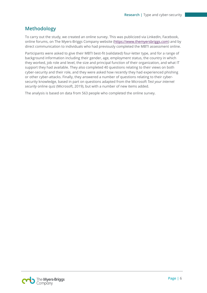### <span id="page-5-0"></span>**Methodology**

To carry out the study, we created an online survey. This was publicized via LinkedIn, Facebook, online forums, on The Myers-Briggs Company website [\(https://www.themyersbriggs.com\)](https://www.themyersbriggs.com/) and by direct communication to individuals who had previously completed the MBTI assessment online.

Participants were asked to give their MBTI best-fit (validated) four-letter type, and for a range of background information including their gender, age, employment status, the country in which they worked, job role and level, the size and principal function of their organization, and what IT support they had available. They also completed 40 questions relating to their views on both cyber-security and their role, and they were asked how recently they had experienced phishing or other cyber-attacks. Finally, they answered a number of questions relating to their cybersecurity knowledge, based in part on questions adapted from the Microsoft *Test your internet security* online quiz (Microsoft, 2019), but with a number of new items added.

The analysis is based on data from 563 people who completed the online survey.

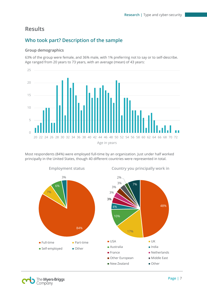## <span id="page-6-0"></span>**Results**

## <span id="page-6-1"></span>**Who took part? Description of the sample**

#### **Group demographics**

63% of the group were female, and 36% male, with 1% preferring not to say or to self-describe. Age ranged from 20 years to 73 years, with an average (mean) of 43 years:



Most respondents (84%) were employed full-time by an organization. Just under half worked principally in the United States, though 40 different countries were represented in total.



**Country you principally work in**

7%



48%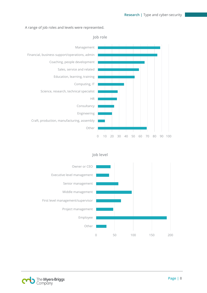A range of job roles and levels were represented.



#### **Job level**



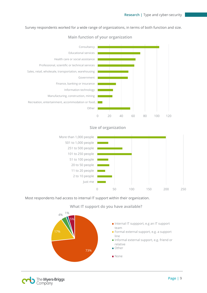Survey respondents worked for a wide range of organizations, in terms of both function and size.



#### **Main function of your organization**





#### Most respondents had access to internal IT support within their organization.



#### **What IT support do you have available?**

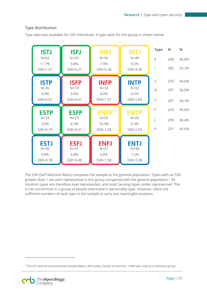#### **Type distribution**

Type data was available for 530 individuals. A type table for this group is shown below:

| <b>ISTJ</b><br>$N = 62$<br>11.7%<br>SSR=1.01 | <b>ISFJ</b><br>$N=20$<br>3.8%<br>SSR=0.27 | <b>INFJ</b><br>$N=42$<br>7.9%<br>SSR=5.28  | <b>INTJ</b><br>$N = 49$<br>9.2%<br>SSR=4.40 | <b>Type</b><br>E           | N<br>248<br>282   | $\frac{0}{0}$<br>46.8%<br>53.2% |
|----------------------------------------------|-------------------------------------------|--------------------------------------------|---------------------------------------------|----------------------------|-------------------|---------------------------------|
| <b>ISTP</b><br>$N=26$<br>4.9%<br>SSR=0.91    | <b>ISFP</b><br>$N=19$<br>3.6%<br>SSR=0.41 | <b>INFP</b><br>$N=32$<br>6.0%<br>SSR=1.37  | <b>INTP</b><br>$N=32$<br>6.0%<br>SSR=1.83   | S<br>$\mathbb N$<br>$\top$ | 233<br>297<br>287 | 44.0%<br>56.0%<br>54.2%         |
|                                              |                                           |                                            |                                             |                            |                   |                                 |
| <b>ESTP</b><br>$N=16$<br>3.0%<br>SSR=0.70    | <b>ESFP</b><br>$N=23$<br>4.3%<br>SSR=0.51 | <b>ENFP</b><br>$N=55$<br>10.4%<br>SSR=1.28 | <b>ENTP</b><br>$N = 28$<br>5.3%<br>SSR=1.65 | F<br>P                     | 243<br>299<br>231 | 45.8%<br>56.4%<br>43.6%         |

The SSR (Self-Selection Ratio) compares the sample to the general population. Types with an SSR greater than [1](#page-9-0) are over-represented in this group compared with the general population.<sup>1</sup> All Intuition types are therefore over-represented, and most Sensing types under-represented. This is not uncommon in a group of people interested in personality type. However, there are sufficient numbers of each type in the sample to carry out meaningful analyses.

<span id="page-9-0"></span><sup>&</sup>lt;sup>1</sup> The US national representative sample (Myers, McCaulley, Quenk, & Hammer, 1998) was used as a reference group

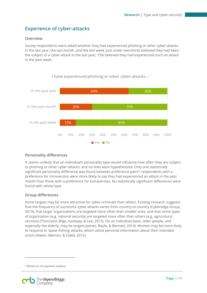### <span id="page-10-0"></span>**Experience of cyber-attacks**

#### **Overview**

Survey respondents were asked whether they had experienced phishing or other cyber-attacks in the last year, the last month, and the last week. Just under two-thirds believed they had been the subject of a cyber-attack in the last year; 15% believed they had experienced such an attack in the past week.



**I have experienced phishing or other cyber-attacks...**

#### **Personality differences**

It seems unlikely that an individual's personality type would influence how often they are subject to phishing or other cyber-attacks, and no links were hypothesized. Only one statistically significant personality difference was found between preference pairs<sup>2</sup>; respondents with a preference for Introversion were more likely to say they had experienced an attack in the past month than those with a preference for Extraversion. No statistically significant differences were found with whole type.

#### **Group differences**

Some targets may be more attractive for cyber-criminals than others. Existing research suggests that the frequency of successful cyber-attacks varies from country to country (Cyberedge Group, 2019), that larger organizations are targeted more often than smaller ones, and that some types of organization (e.g. national security) are targeted more often than others (e.g. agricultural services) (Thonnard, Bilge, Kashyap, & Lee, 2015). On an individual basis, older people, and especially the elderly, may be targets (James, Boyle, & Bennett, 2014). Women may be more likely to respond to 'spear-fishing' attacks, which utilize personal information about their intended victim (Halevi, Memon, & Oded, 2013).

<span id="page-10-1"></span><sup>2</sup> Based on chi-squared analysis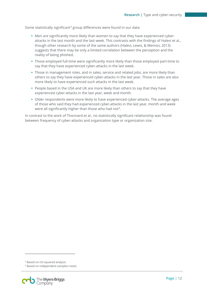Some statistically significant<sup>[3](#page-11-0)</sup> group differences were found in our data:

- Men are significantly more likely than women to say that they have experienced cyberattacks in the last month and the last week. This contrasts with the findings of Halevi et al., though other research by some of the same authors (Halevi, Lewis, & Memon, 2013) suggests that there may be only a limited correlation between the perception and the reality of being phished.
- Those employed full-time were significantly more likely than those employed part-time to say that they have experienced cyber-attacks in the last week.
- Those in management roles, and in sales, service and related jobs, are more likely than others to say they have experienced cyber-attacks in the last year. Those in sales are also more likely to have experienced such attacks in the last week.
- People based in the USA and UK are more likely than others to say that they have experienced cyber-attacks in the last year, week and month.
- Older respondents were more likely to have experienced cyber-attacks. The average ages of those who said they had experienced cyber-attacks in the last year, month and week were all significantly higher than those who had not<sup>4</sup>.

In contrast to the work of Thonnard et al., no statistically significant relationship was found between frequency of cyber-attacks and organization type or organization size.

<span id="page-11-1"></span><span id="page-11-0"></span><sup>4</sup> Based on independent-samples t-tests



<sup>&</sup>lt;sup>3</sup> Based on chi-squared analysis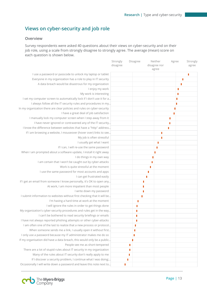## <span id="page-12-0"></span>**Views on cyber-security and job role**

#### **Overview**

Survey respondents were asked 40 questions about their views on cyber-security and on their job role, using a scale from strongly disagree to strongly agree. The average (mean) score on each question is shown below.

|                                                                         | Strongly<br>disagree | Disagree | Neither<br>disagree nor<br>agree | Agree | Strongly<br>agree |
|-------------------------------------------------------------------------|----------------------|----------|----------------------------------|-------|-------------------|
| I use a password or passcode to unlock my laptop or tablet              |                      |          |                                  |       |                   |
| Everyone in my organization has a role to play in IT security           |                      |          |                                  |       | П                 |
| A data breach would be disastrous for my organization                   |                      |          |                                  |       | п                 |
| I enjoy my work                                                         |                      |          |                                  |       | п                 |
| My work is interesting                                                  |                      |          |                                  |       | П                 |
| I set my computer screen to automatically lock if I don't use it for a  |                      |          |                                  |       |                   |
| I always follow all the IT security rules and procedures in my          |                      |          |                                  |       |                   |
| In my organization there are clear policies and rules on cyber-security |                      |          |                                  |       |                   |
| I have a great deal of job satisfaction                                 |                      |          |                                  |       |                   |
| I manually lock my computer screen when I step away from it             |                      |          |                                  | П     |                   |
| I have never ignored or contravened any of the IT security              |                      |          |                                  | п     |                   |
| I know the difference between websites that have a "http" address       |                      |          |                                  |       |                   |
| If I am browsing a website, I mouseover (hover over) links to see       |                      |          |                                  |       |                   |
| My job is often stressful                                               |                      |          |                                  |       |                   |
| I usually get what I want                                               |                      |          | п                                |       |                   |
| If I can, I will re-use the same password                               |                      |          |                                  |       |                   |
| When I am prompted about a software update, I install it right away     |                      |          |                                  |       |                   |
| I do things in my own way                                               |                      |          |                                  |       |                   |
| I am certain that I won't be caught out by cyber-attacks                |                      |          |                                  |       |                   |
| Work is quite stressful at the moment                                   |                      |          | П                                |       |                   |
| I use the same password for most accounts and apps                      |                      |          |                                  |       |                   |
| I can get frustrated easily                                             |                      |          |                                  |       |                   |
| If I get an email from someone I know personally, it's OK to open any   |                      | п        |                                  |       |                   |
| At work, I am more impatient than most people                           |                      |          |                                  |       |                   |
| I write down my password                                                |                      |          |                                  |       |                   |
| I submit information to websites without first checking that it will be |                      | П        |                                  |       |                   |
| I'm having a hard time at work at the moment                            |                      |          |                                  |       |                   |
| I will ignore the rules in order to get things done                     |                      |          |                                  |       |                   |
| My organization's cyber-security procedures and rules get in the way    |                      | П        |                                  |       |                   |
| I can't be bothered to read security briefings or emails                |                      |          |                                  |       |                   |
| I have not always reported phishing attempts or other cyber-attacks     |                      |          |                                  |       |                   |
| I am often one of the last to realize that a new process or protocol    |                      | п        |                                  |       |                   |
| When someone sends me a link, I usually open it without first           |                      | П        |                                  |       |                   |
| I only use a password because my IT administrator makes me do so        |                      |          |                                  |       |                   |
| If my organisation did have a data breach, this would only be a public  |                      |          |                                  |       |                   |
| People see me as short-tempered                                         |                      | П        |                                  |       |                   |
| There are a lot of stupid rules about IT security in my organization    |                      | п        |                                  |       |                   |
| Many of the rules about IT security don't really apply to me            |                      | П        |                                  |       |                   |
| If I discover a security problem, I continue what I was doing;          |                      | п        |                                  |       |                   |
| Occasionally I will write down a password and leave this note next to   | п                    |          |                                  |       |                   |

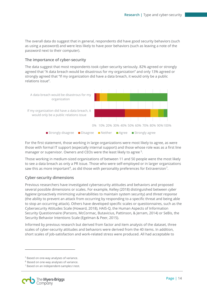The overall data do suggest that in general, respondents did have good security behaviors (such as using a password) and were less likely to have poor behaviors (such as leaving a note of the password next to their computer).

#### **The importance of cyber-security**

The data suggest that most respondents took cyber-security seriously. 82% agreed or strongly agreed that "A data breach would be disastrous for my organization" and only 13% agreed or strongly agreed that "If my organization did have a data breach, it would only be a public relations issue".



For the first statement, those working in large organizations were most likely to agree, as were those with formal IT support (especially internal support) and those whose role was as a first line manager or supervisor. Owners and CEOs were the least likely to agree [5](#page-13-0).

Those working in medium-sized organizations of between 11 and 50 people were the most likely to see a data breach as only a PR issue. Those who were self-employed or in larger organizations saw this as more important<sup>6</sup>, as did those with personality preferences for Extraversion<sup>7</sup>.

#### **Cyber-security dimensions**

Previous researchers have investigated cybersecurity attitudes and behaviors and proposed several possible dimensions or scales. For example, Kelley (2018) distinguished between *cyber hygiene* (proactively minimizing vulnerabilities to maintain system security) and *threat response* (the ability to prevent an attack from occurring by responding to a specific threat and being able to stop an occurring attack). Others have developed specific scales or questionnaires, such as the Cybersecurity Attitudes Scale (Howard, 2018), HAIS-Q, the Human Aspects of Information Security Questionnaire (Parsons, McCormac, Butavicius, Pattinson, & Jerram, 2014) or SeBis, the Security Behavior Intentions Scale (Egelman & Peer, 2015).

Informed by previous research but derived from factor and item analysis of the dataset, three scales of cyber-security attitudes and behaviors were derived from the 40 items. In addition, short scales of job-satisfaction and work-related stress were produced. All had acceptable to

<span id="page-13-2"></span><span id="page-13-1"></span><span id="page-13-0"></span><sup>7</sup> Based on an independent-samples t-test.



<sup>5</sup> Based on one-way analyses of variance.

<sup>6</sup> Based on one-way analyses of variance.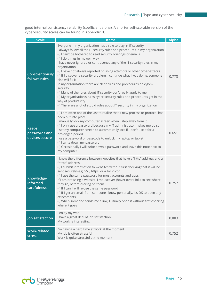good internal consistency reliability (coefficient alpha). A shorter self-scorable version of the cyber-security scales can be found in Appendix B.

| <b>Scale</b>                                    | <b>Items</b>                                                                                                                                                                                                                                                                                                                                                                                                                                                                                                                                                                                                                                                                                                                                                                                                                                               | Alpha |
|-------------------------------------------------|------------------------------------------------------------------------------------------------------------------------------------------------------------------------------------------------------------------------------------------------------------------------------------------------------------------------------------------------------------------------------------------------------------------------------------------------------------------------------------------------------------------------------------------------------------------------------------------------------------------------------------------------------------------------------------------------------------------------------------------------------------------------------------------------------------------------------------------------------------|-------|
| <b>Conscientiously</b><br>follows rules         | Everyone in my organization has a role to play in IT security<br>I always follow all the IT security rules and procedures in my organization<br>(-) I can't be bothered to read security briefings or emails<br>(-) I do things in my own way<br>I have never ignored or contravened any of the IT security rules in my<br>organization<br>(-) I have not always reported phishing attempts or other cyber-attacks<br>(-) If I discover a security problem, I continue what I was doing; someone<br>else will fix it<br>In my organization there are clear rules and procedures on cyber-<br>security<br>(-) Many of the rules about IT security don't really apply to me<br>(-) My organization's rules cyber-security rules and procedures get in the<br>way of productivity<br>(-) There are a lot of stupid rules about IT security in my organization | 0.773 |
| <b>Keeps</b><br>passwords and<br>devices secure | (-) I am often one of the last to realize that a new process or protocol has<br>been put into place<br>I manually lock my computer screen when I step away from it<br>(-) I only use a password because my IT administrator makes me do so<br>I set my computer screen to automatically lock if I don't use it for a<br>prolonged period<br>I use a password or passcode to unlock my laptop or tablet<br>(-) I write down my password<br>(-) Occasionally I will write down a password and leave this note next to<br>my computer                                                                                                                                                                                                                                                                                                                         | 0.651 |
| Knowledge-<br>informed<br>carefulness           | I know the difference between websites that have a "http" address and a<br>"https" address<br>(-) I submit information to websites without first checking that it will be<br>sent securely (e.g. SSL, https: or a 'lock' icon<br>(-) I use the same password for most accounts and apps<br>If I am browsing a website, I mouseover (hover over) links to see where<br>they go, before clicking on them<br>(-) If I can, I will re-use the same password<br>(-) If I get an email from someone I know personally, it's OK to open any<br>attachments<br>(-) When someone sends me a link, I usually open it without first checking<br>where it goes                                                                                                                                                                                                         | 0.757 |
| Job satisfaction                                | I enjoy my work<br>I have a great deal of job satisfaction<br>My work is interesting                                                                                                                                                                                                                                                                                                                                                                                                                                                                                                                                                                                                                                                                                                                                                                       | 0.883 |
| <b>Work-related</b><br><b>stress</b>            | I'm having a hard time at work at the moment<br>My job is often stressful<br>Work is quite stressful at the moment                                                                                                                                                                                                                                                                                                                                                                                                                                                                                                                                                                                                                                                                                                                                         | 0.752 |

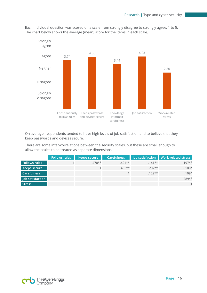

Each individual question was scored on a scale from strongly disagree to strongly agree, 1 to 5. The chart below shows the average (mean) score for the items in each scale.

On average, respondents tended to have high levels of job satisfaction and to believe that they keep passwords and devices secure.

There are some inter-correlations between the security scales, but these are small enough to allow the scales to be treated as separate dimensions.

|                      | ا Follows rules | Keeps secure | <b>Carefulness</b> | $ $ ob satisfaction | <b>Work-related stress</b> |
|----------------------|-----------------|--------------|--------------------|---------------------|----------------------------|
| <b>Follows rules</b> |                 | $.470**$     | $.421**$           | $.141**$            | $-197**$                   |
| <b>Keeps secure</b>  |                 |              | $.483**$           | $.202**$            | $-100*$                    |
| <b>Carefulness</b>   |                 |              |                    | $.129**$            | $.109*$                    |
| Job satisfaction     |                 |              |                    |                     | $-289**$                   |
| <b>Stress</b>        |                 |              |                    |                     |                            |

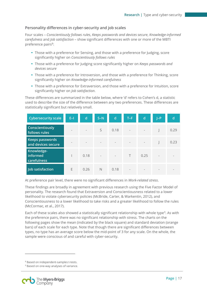#### **Personality differences in cyber-security and job scales**

Four scales – *Conscientiously follows rules*, *Keeps passwords and devices secure*, *Knowledge-informed carefulness* and *Job satisfaction* – show significant differences with one or more of the MBTI preference pairs<sup>8</sup>:

- Those with a preference for Sensing, and those with a preference for Judging, score significantly higher on *Conscientiously follows rules*
- Those with a preference for Judging score significantly higher on *Keeps passwords and devices secure*
- Those with a preference for Introversion, and those with a preference for Thinking, score significantly higher on *Knowledge-informed carefulness*
- Those with a preference for Extraversion, and those with a preference for Intuition, score significantly higher on *Job satisfaction*.

These differences are summarized in the table below, where 'd' refers to Cohen's d, a statistic used to describe the size of the difference between any two preferences. These differences are statistically significant but relatively small.

| <b>Cybersecurity scale</b>                   | $E-I$                    | $\mathbf d$              | $S-N$                    | d                        | $T-F$                    | d                        | $J-P$                    | d    |
|----------------------------------------------|--------------------------|--------------------------|--------------------------|--------------------------|--------------------------|--------------------------|--------------------------|------|
| Conscientiously<br>follows rules             | $\overline{\phantom{a}}$ | $\overline{\phantom{a}}$ | S                        | 0.18                     | $\overline{\phantom{a}}$ | $\overline{\phantom{a}}$ |                          | 0.29 |
| <b>Keeps passwords</b><br>and devices secure |                          | $\overline{\phantom{a}}$ | $\overline{\phantom{a}}$ | $\overline{\phantom{a}}$ | $\overline{\phantom{a}}$ | $\overline{\phantom{a}}$ |                          | 0.23 |
| Knowledge-<br>informed<br>carefulness        |                          | 0.18                     | $\overline{\phantom{a}}$ | $\overline{\phantom{a}}$ | Τ                        | 0.25                     | $\overline{\phantom{a}}$ |      |
| Job satisfaction                             | E                        | 0.26                     | $\mathbb N$              | 0.18                     | $\overline{\phantom{a}}$ |                          |                          |      |

At preference pair level, there were no significant differences in *Work-related stress*.

These findings are broadly in agreement with previous research using the Five Factor Model of personality. The research found that Extraversion and Conscientiousness related to a lower likelihood to violate cybersecurity policies (McBride, Carter, & Warkentin, 2012), and Conscientiousness to a lower likelihood to take risks and a greater likelihood to follow the rules (McCormac, et al., 2017).

Each of these scales also showed a statistically significant relationship with whole type<sup>9</sup>. As with the preference pairs, there was no significant relationship with stress. The charts on the following pages show the mean (indicated by the black square) and standard deviation (orange bars) of each scale for each type. Note that though there are significant differences between types, no type has an average score below the mid-point of 3 for any scale. On the whole, the sample were conscious of and careful with cyber-security.

<span id="page-16-0"></span><sup>8</sup> Based on independent-samples t-tests.

<span id="page-16-1"></span><sup>&</sup>lt;sup>9</sup> Based on one-way analyses of variance.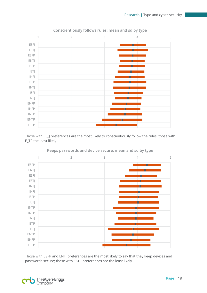

**Conscientiously follows rules: mean and sd by type**

Those with ES\_J preferences are the most likely to conscientiously follow the rules; those with E\_TP the least likely.





Those with ESFP and ENTJ preferences are the most likely to say that they keep devices and passwords secure; those with ESTP preferences are the least likely.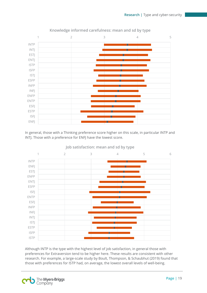

**Knowledge informed carefulness: mean and sd by type**

In general, those with a Thinking preference score higher on this scale, in particular INTP and INTJ. Those with a preference for ENFJ have the lowest score.



**Job satisfaction: mean and sd by type**

Although INTP is the type with the highest level of job satisfaction, in general those with preferences for Extraversion tend to be higher here. These results are consistent with other research. For example, a large-scale study by Boult, Thompson, & Schaubhut (2019) found that those with preferences for ISTP had, on average, the lowest overall levels of well-being.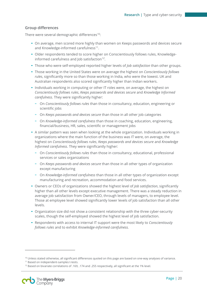#### **Group differences**

There were several demographic differences<sup>[10](#page-19-0)</sup>:

- On average, men scored more highly than women on Keeps passwords and devices secure and Knowledge-informed carefulness<sup>11</sup>.
- Older respondents tended to score higher on Conscientiously follows rules, Knowledgeinformed carefulness and Job satisfaction*[12](#page-19-2)*.
- Those who were self-employed reported higher levels of *Job satisfaction* than other groups.
- Those working in the United States were on average the highest on *Conscientiously follows rules*, significantly more so than those working in India, who were the lowest. UK and Australian respondents also scored significantly higher than Indian workers.
- Individuals working in computing or other IT roles were, on average, the highest on *Conscientiously follows rules*, *Keeps passwords and devices secure* and *Knowledge Informed carefulness*. They were significantly higher:
	- On *Conscientiously follows rules* than those in consultancy, education, engineering or scientific jobs
	- On *Keeps passwords and devices secure* than those in all other job categories
	- On *Knowledge-informed carefulness* than those in coaching, education, engineering, financial/business, HR, sales, scientific or management jobs
- A similar pattern was seen when looking at the whole organization. Individuals working in organizations where the main function of the business was IT were, on average, the highest on *Conscientiously follows rules*, *Keeps passwords and devices secure* and *Knowledge Informed carefulness*. They were significantly higher:
	- On *Conscientiously follows rules* than those in consultancy, educational, professional services or sales organizations
	- On *Keeps passwords and devices secure* than those in all other types of organization except manufacturing
	- On *Knowledge-informed carefulness* than those in all other types of organization except manufacturing and recreation, accommodation and food services.
- Owners or CEOs of organizations showed the highest level of *Job satisfaction*, significantly higher than all other levels except executive management. There was a steady reduction in average job satisfaction from Owner/CEO, through levels of managers, to employee level. Those at employee level showed significantly lower levels of job satisfaction than all other levels.
- Organization size did not show a consistent relationship with the three cyber-security scales, though the self-employed showed the highest level of job satisfaction.
- Respondents with access to internal IT support were the most likely to *Conscientiously follows rules* and to exhibit *Knowledge-informed carefulness.*

<span id="page-19-0"></span><sup>&</sup>lt;sup>10</sup> Unless stated otherwise, all significant differences quoted on this page are based on one-way analyses of variance.

<span id="page-19-1"></span><sup>&</sup>lt;sup>11</sup> Based on independent-samples t-tests.

<span id="page-19-2"></span><sup>&</sup>lt;sup>12</sup> Based on bivariate correlations of .169, .174 and .255 respectively, all significant at the 1% level.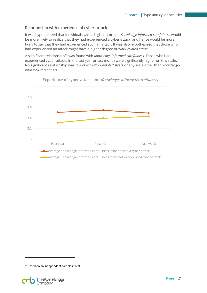#### **Relationship with experience of cyber-attack**

It was hypothesized that individuals with a higher score on *Knowledge-informed carefulness* would be more likely to realize that they had experienced a cyber-attack, and hence would be more likely to say that they had experienced such an attack. It was also hypothesized that those who had experienced an attack might have a higher degree of *Work-related stress*.

A significant relationship[13](#page-20-0) was found with *Knowledge-informed carefulness.* Those who had experienced cyber-attacks in the last year or last month were significantly higher on this scale. No significant relationship was found with *Work-related stress* or any scale other than *Knowledgeinformed carefulness*.



**Experience of cyber-attack and Knowledge-informed carefulness**

<span id="page-20-0"></span><sup>&</sup>lt;sup>13</sup> Based on an independent-samples t-test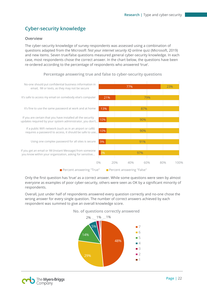## <span id="page-21-0"></span>**Cyber-security knowledge**

#### **Overview**

The cyber-security knowledge of survey respondents was assessed using a combination of questions adapted from the Microsoft *Test your internet security IQ* online quiz (Microsoft, 2019) and new items. Seven true/false questions measured general cyber-security knowledge. In each case, most respondents chose the correct answer. In the chart below, the questions have been re-ordered according to the percentage of respondents who answered 'true'.



#### **Percentage answering true and false to cyber-security questions**

Only the first question has 'true' as a correct answer. While some questions were seen by almost everyone as examples of poor cyber-security, others were seen as OK by a significant minority of respondents.

Overall, just under half of respondents answered every question correctly and no-one chose the wrong answer for every single question. The number of correct answers achieved by each respondent was summed to give an overall knowledge score.



**No. of questions correctly answered**

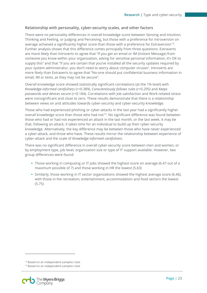#### **Relationship with personality, cyber-security scales, and other factors**

There were no personality differences in overall knowledge score between Sensing and Intuition, Thinking and Feeling, or Judging and Perceiving, but those with a preference for Introversion on average achieved a significantly higher score than those with a preference for Extraversion<sup>14</sup>. Further analysis shows that this difference comes principally from three questions. Extraverts are more likely than Introverts to agree that "if you get an email or IM (Instant Message) from someone you know within your organization, asking for sensitive personal information, it's OK to supply this" and that "if you are certain that you've installed all the security updates required by your system administrator, you don't need to worry about computer viruses". Introverts are more likely than Extraverts to agree that "No-one should put confidential business information in email, IM or texts, as they may not be secure".

Overall knowledge score showed statistically significant correlations (at the 1% level) with *Knowledge-informed carefulness* (r=0.389), *Conscientiously follows rules* (r=0.295) and *Keeps passwords and devices secure* (r=0.184). Correlations with Job satisfaction and Work-related stress were nonsignificant and close to zero. These results demonstrate that there is a relationship between views on and attitudes towards cyber-security and cyber-security knowledge.

Those who had experienced phishing or cyber-attacks in the last year had a significantly higher overall knowledge score than those who had not<sup>[15](#page-22-1)</sup>. No significant difference was found between those who had or had not experienced an attack in the last month, or the last week. It may be that, following an attack, it takes time for an individual to build up their cyber-security knowledge. Alternatively, the key difference may be between those who have never experienced a cyber-attack, and those who have. These results mirror the relationship between experience of cyber-attack and the scale of *Knowledge-informed carefulness*.

There was no significant difference in overall cyber-security score between men and women, or by employment type, job level, organization size or type of IT support available. However, two group differences were found:

- Those working in computing or IT jobs showed the highest score on average (6.47 out of a maximum possible of 7) and those working in HR the lowest (5.63)
- Similarly, those working in IT sector organizations showed the highest average score (6.46), with those in the recreation, entertainment, accommodation and food sectors the lowest (5.75)

<span id="page-22-1"></span><span id="page-22-0"></span><sup>&</sup>lt;sup>15</sup> Based on an independent-samples t-test



<sup>&</sup>lt;sup>14</sup> Based on an independent-samples t-test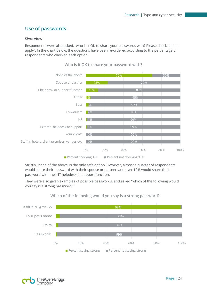### <span id="page-23-0"></span>**Use of passwords**

#### **Overview**

Respondents were also asked, "who is it OK to share your passwords with? Please check all that apply". In the chart below, the questions have been re-ordered according to the percentage of respondents who checked each option.



**Who is it OK to share your password with?**

Strictly, 'none of the above' is the only safe option. However, almost a quarter of respondents would share their password with their spouse or partner, and over 10% would share their password with their IT helpdesk or support function.

They were also given examples of possible passwords, and asked "which of the following would you say is a strong password?"



#### **Which of the following would you say is a strong password?**

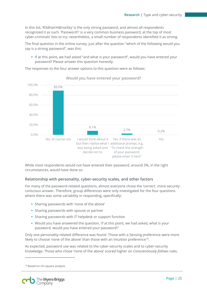In this list, 'R3dHairH@rseSky' is the only strong password, and almost all respondents recognized it as such. 'Password1' is a very common business password, at the top of most cyber-criminals' lists to try; nevertheless, a small number of respondents identified it as strong.

The final question in the online survey, just after the question "which of the following would you say is a strong password", was this:

- If at this point, we had asked "and what is your password", would you have entered your password? Please answer this question honestly.

The responses to the four answer options to this question were as follows:



**Would you have entered your password?**

While most respondents would not have entered their password, around 3%, in the right circumstances, would have done so.

#### **Relationship with personality, cyber-security scales, and other factors**

For many of the password-related questions, almost everyone chose the 'correct', more securityconscious answer. Therefore, group differences were only investigated for the four questions where there was some variability in responding, specifically:

- Sharing passwords with 'none of the above'
- Sharing passwords with spouse or partner
- Sharing passwords with IT helpdesk or support function
- Would you have answered the question, 'if at this point, we had asked, what is your password, would you have entered your password'?

Only one personality-related difference was found. Those with a Sensing preference were more likely to choose 'none of the above' than those with an Intuition preference<sup>[16](#page-24-0)</sup>.

As expected, password use was related to the cyber-security scales and to cyber-security knowledge. Those who chose 'none of the above' scored higher on *Conscientiously follows rules*,

<span id="page-24-0"></span><sup>&</sup>lt;sup>16</sup> Based on chi-square analysis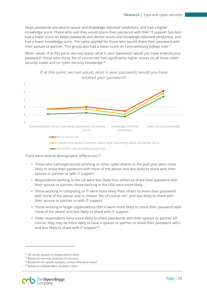*Keeps passwords and devices secure* and *Knowledge-informed carefulness*, and had a higher knowledge score. Those who said they would share their password with their IT support function had a lower score on *Keeps passwords and devices secure* and *Knowledge-informed carefulness,* and had a lower knowledge score. The same applied for those who would share their password with their spouse or partner. This group also had a lower score on *Conscientiously follows rules[17](#page-25-0)*.

When asked, 'if at this point, we had asked, what is your password, would you have entered your password', those who chose 'No of course not' had significantly higher scores on all three cyber-security scales and on cyber-security knowledge<sup>[18](#page-25-1)</sup>.



**If at this point, we had asked, what is your password, would you have entered your password?**

There were several demographic differences<sup>[19](#page-25-2)</sup>:

- Those who had experienced phishing or other cyber-attacks in the past year were more likely to share their password with 'none of the above' and less likely to share with their spouse or partner or with IT support
- Respondents working in the UK were less likely than others to share their password with their spouse or partner; those working in the USA were more likely
- Those working in computing or IT were more likely than others to share their password with 'none of the above' and to choose "No of course not", and less likely to share with their spouse or partner or with IT support
- Those working in larger organizations (501+) were more likely to share their password with 'none of the above' and less likely to share with IT support.
- Older respondents were more likely to share passwords with their spouse or partner (of course, they may be more likely to have a spouse or partner to share their password with) and less likely to share with IT support $20$ .

<span id="page-25-3"></span><span id="page-25-2"></span><span id="page-25-1"></span><span id="page-25-0"></span><sup>20</sup> Based on independent-samples t-tests



<sup>&</sup>lt;sup>17</sup> All results based on independent t-tests

<sup>&</sup>lt;sup>18</sup> Based on one-way analyses of variance

<sup>19</sup> Based on chi-square analysis, unless otherwise noted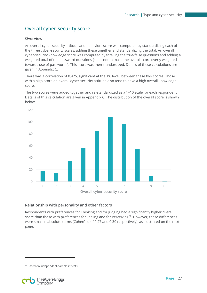## <span id="page-26-0"></span>**Overall cyber-security score**

#### **Overview**

An overall cyber-security attitude and behaviors score was computed by standardizing each of the three cyber-security scales, adding these together and standardizing the total. An overall cyber-security knowledge score was computed by totalling the true/false questions and adding a weighted total of the password questions (so as not to make the overall score overly weighted towards use of passwords). This score was then standardized. Details of these calculations are given in Appendix C.

There was a correlation of 0.425, significant at the 1% level, between these two scores. Those with a high score on overall cyber-security attitude also tend to have a high overall knowledge score.

The two scores were added together and re-standardized as a 1–10 scale for each respondent. Details of this calculation are given in Appendix C. The distribution of the overall score is shown below.



#### **Relationship with personality and other factors**

Respondents with preferences for Thinking and for Judging had a significantly higher overall score than those with preferences for Feeling and for Perceiving<sup>21</sup>. However, these differences were small in absolute terms (Cohen's d of 0.27 and 0.30 respectively), as illustrated on the next page.

<span id="page-26-1"></span><sup>21</sup> Based on independent-samples t-tests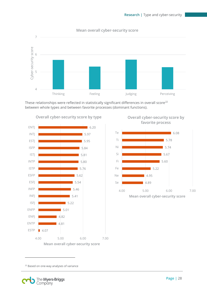

**Mean overall cyber-security score**

These relationships were reflected in statistically significant differences in overall score<sup>[22](#page-27-0)</sup> between whole types and between favorite processes (dominant functions).







<span id="page-27-0"></span><sup>22</sup> Based on one-way analyses of variance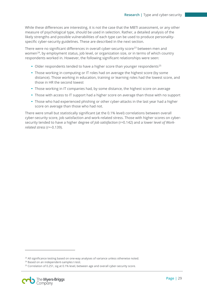While these differences are interesting, it is not the case that the MBTI assessment, or any other measure of psychological type, should be used in selection. Rather, a detailed analysis of the likely strengths and possible vulnerabilities of each type can be used to produce personalityspecific cyber-security guidelines. These are described in the next section.

There were no significant differences in overall cyber-security score<sup>[23](#page-28-0)</sup> between men and women<sup>24</sup>, by employment status, job level, or organization size, or in terms of which country respondents worked in. However, the following significant relationships were seen:

- Older respondents tended to have a higher score than younger respondents<sup>[25](#page-28-2)</sup>
- Those working in computing or IT roles had on average the highest score (by some distance). Those working in education, training or learning roles had the lowest score, and those in HR the second lowest
- Those working in IT companies had, by some distance, the highest score on average
- Those with access to IT support had a higher score on average than those with no support
- Those who had experienced phishing or other cyber-attacks in the last year had a higher score on average than those who had not.

There were small but statistically significant (at the 0.1% level) correlations between overall cyber-security score, job satisfaction and work-related stress. Those with higher scores on cybersecurity tended to have a higher degree of *Job satisfaction* (r=0.142) and a lower level *of Workrelated stress* (r=-0.139).

<span id="page-28-2"></span><span id="page-28-1"></span><span id="page-28-0"></span><sup>&</sup>lt;sup>25</sup> Correlation of 0.251, sig at 0.1% level, between age and overall cyber-security score.



<sup>&</sup>lt;sup>23</sup> All significance testing based on one-way analyses of variance unless otherwise noted.

<sup>&</sup>lt;sup>24</sup> Based on an independent-samples t-test.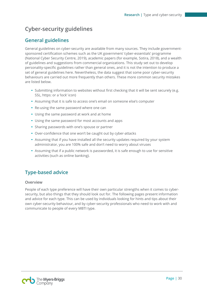## <span id="page-29-0"></span>**Cyber-security guidelines**

### <span id="page-29-1"></span>**General guidelines**

General guidelines on cyber-security are available from many sources. They include governmentsponsored certification schemes such as the UK government 'cyber-essentials' programme (National Cyber Security Centre, 2019), academic papers (for example, Sotira, 2018), and a wealth of guidelines and suggestions from commercial organizations. This study set out to develop personality-specific guidelines rather than general ones, and it is not the intention to produce a set of general guidelines here. Nevertheless, the data suggest that some poor cyber-security behaviours are carried out more frequently than others. These more common security mistakes are listed below.

- Submitting information to websites without first checking that it will be sent securely (e.g. SSL, https: or a 'lock' icon)
- Assuming that it is safe to access one's email on someone else's computer
- Re-using the same password where one can
- Using the same password at work and at home
- Using the same password for most accounts and apps
- Sharing passwords with one's spouse or partner
- Over-confidence that one won't be caught out by cyber-attacks
- Assuming that if you have installed all the security updates required by your system administrator, you are 100% safe and don't need to worry about viruses
- Assuming that if a public network is passworded, it is safe enough to use for sensitive activities (such as online banking).

## <span id="page-29-2"></span>**Type-based advice**

#### **Overview**

People of each type preference will have their own particular strengths when it comes to cybersecurity, but also things that they should look out for. The following pages present information and advice for each type. This can be used by individuals looking for hints and tips about their own cyber-security behaviour, and by cyber-security professionals who need to work with and communicate to people of every MBTI type.

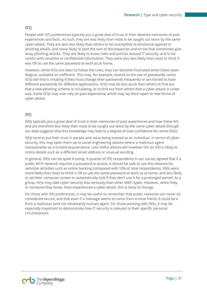#### **ISTJ**

People with ISTJ preferences typically put a great deal of trust in their detailed memories of past experiences and facts. As such, they are less likely than most to be caught out twice by the same cyber-attack. They are also less likely than others to be susceptible to emotional appeals in phishing emails, and more likely to spot the sort of discrepancies and errors that sometimes give away phishing attacks. They are likely to know rules and policies around IT security, and to be careful with sensitive or confidential information. They were also less likely than most to think it was OK to use the same password at work as at home.

However, while ISTJs are keen to follow the rules, they can become frustrated when these seem illogical, outdated or inefficient. This may, for example, extend to the use of passwords; some ISTJs will find it irritating if they must change their passwords frequently or are forced to have different passwords for different applications. ISTJs may be less quick than others to find out that a new phishing scheme is circulating, or to find out from others that a cyber-attack is under way. Some ISTJs may over-rely on past experience, which may lay them open to new forms of cyber-attack.

#### **ISFJ**

ISFJs typically put a great deal of trust in their memories of past experiences and how these felt and are therefore less likely than most to be caught out twice by the same cyber-attack (though our data suggests that this knowledge may lead to a degree of over-confidence for some ISFJs).

ISFJs tend to put their trust in people and value being treated as an individual. In terms of cybersecurity, this may open them up to social engineering attacks where a malicious agent masquerades as a trusted acquaintance. Less skilful attacks will however fail; an ISFI is likely to notice details such as a different email address or unusual wording.

In general, ISFIs can be quite trusting. A quarter of ISFI respondents in our survey agreed that if a public Wi-Fi network requires a password to access, it should be safe to use this network for sensitive activities such as online banking (compared with 10% of total respondents). ISFJs were more likely than most to think it OK to use the same password at work as at home, and less likely to set their computer screen to automatically lock if they don't use it for a prolonged period. As a group, ISFJs may take cyber-security less seriously than other MBTI types. However, when they, or someone they know, have experienced a cyber-attack, this is likely to change.

For those with ISFJ preferences, it may be useful to remember that public networks can never be considered secure, and that even if a message seems to come from a close friend, it could be a from a malicious (and not necessarily human) agent. For those working with ISFJs, it may be especially important to demonstrate how IT security is relevant to their specific personal circumstances.

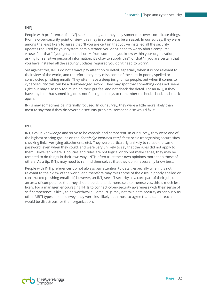#### **INFJ**

People with preferences for INFJ seek meaning and they may sometimes over-complicate things. From a cyber-security point of view, this may in some ways be an asset. In our survey, they were among the least likely to agree that "If you are certain that you've installed all the security updates required by your system administrator, you don't need to worry about computer viruses", or that "If you get an email or IM from someone you know within your organization, asking for sensitive personal information, it's okay to supply this", or that "if you are certain that you have installed all the security updates required you don't need to worry".

Set against this, INFJs do not always pay attention to detail, especially when it is not relevant to their view of the world, and therefore they may miss some of the cues in poorly spelled or constructed phishing emails. They often have a deep insight into people, but when it comes to cyber-security this can be a double-edged sword. They may spot that something does not seem right but may also rely too much on their gut feel and not check the detail. For an INFJ, if they have any hint that something does not feel right, it pays to remember to check, check and check again.

INFJs may sometimes be internally focused. In our survey, they were a little more likely than most to say that if they discovered a security problem, someone else would fix it.

#### **INTJ**

INTJs value knowledge and strive to be capable and competent. In our survey, they were one of the highest-scoring groups on the *Knowledge-informed carefulness* scale (recognising secure sites, checking links, verifying attachments etc). They were particularly unlikely to re-use the same password, even when they could, and were very unlikely to say that the rules did not apply to them. However, where IT policies and rules are not logical or do not make sense, they may be tempted to do things in their own way; INTJs often trust their own opinions more than those of others. As a tip, INTJs may need to remind themselves that they don't necessarily know best.

People with INTJ preferences do not always pay attention to detail, especially when it is not relevant to their view of the world, and therefore may miss some of the cues in poorly spelled or constructed phishing emails. If, however, an INTJ sees IT security as a core part of their job, or as an area of competence that they should be able to demonstrate to themselves, this is much less likely. For a manager, encouraging INTJs to connect cyber-security awareness with their sense of self-competence is likely to be worthwhile. Some INTJs may not take data security as seriously as other MBTI types; in our survey, they were less likely than most to agree that a data breach would be disastrous for their organization.

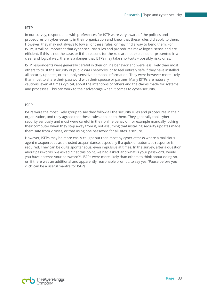#### **ISTP**

In our survey, respondents with preferences for ISTP were very aware of the policies and procedures on cyber-security in their organization and knew that these rules did apply to them. However, they may not always follow all of these rules, or may find a way to bend them. For ISTPs, it will be important that cyber-security rules and procedures make logical sense and are efficient. If this is not the case, or if the reasons for the rule are not explained or presented in a clear and logical way, there is a danger that ISTPs may take shortcuts – possibly risky ones.

ISTP respondents were generally careful in their online behavior and were less likely than most others to trust the security of public Wi-Fi networks, or to feel entirely safe if they have installed all security updates, or to supply sensitive personal information. They were however more likely than most to share their password with their spouse or partner. Many ISTPs are naturally cautious, even at times cynical, about the intentions of others and the claims made for systems and processes. This can work to their advantage when it comes to cyber-security.

#### **ISFP**

ISFPs were the most likely group to say they follow all the security rules and procedures in their organization, and they agreed that these rules applied to them. They generally took cybersecurity seriously and most were careful in their online behavior, for example manually locking their computer when they step away from it, not assuming that installing security updates made them safe from viruses, or that using one password for all sites is secure.

However, ISFPs may be more easily caught out than most by cyber-attacks where a malicious agent masquerades as a trusted acquaintance, especially if a quick or automatic response is required. They can be quite spontaneous, even impulsive at times. In the survey, after a question about passwords, we asked, "If at this point, we had asked 'and what is your password', would you have entered your password?". ISFPs were more likely than others to think about doing so, or, if there was an additional and apparently reasonable prompt, to say yes. 'Pause before you click' can be a useful mantra for ISFPs.

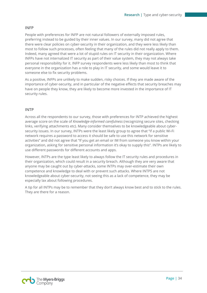#### **INFP**

People with preferences for INFP are not natural followers of externally imposed rules, preferring instead to be guided by their inner values. In our survey, many did not agree that there were clear policies on cyber-security in their organization, and they were less likely than most to follow such processes, often feeling that many of the rules did not really apply to them. Indeed, many agreed that were a lot of stupid rules on IT security in their organization. Where INFPs have not internalized IT security as part of their value system, they may not always take personal responsibility for it. INFP survey respondents were less likely than most to think that everyone in the organization has a role to play in IT security, and some would leave it to someone else to fix security problems.

As a positive, INFPs are unlikely to make sudden, risky choices. If they are made aware of the importance of cyber-security, and in particular of the negative effects that security breaches may have on people they know, they are likely to become more invested in the importance of IT security rules.

#### **INTP**

Across all the respondents to our survey, those with preferences for INTP achieved the highest average score on the scale of *Knowledge-informed carefulness* (recognizing secure sites, checking links, verifying attachments etc). Many consider themselves to be knowledgeable about cybersecurity issues. In our survey, INTPs were the least likely group to agree that "if a public Wi-Fi network requires a password to access it should be safe to use this network for sensitive activities" and did not agree that "If you get an email or IM from someone you know within your organization, asking for sensitive personal information it's okay to supply this". INTPs are likely to use different passwords for different accounts and apps.

However, INTPs are the type least likely to always follow the IT security rules and procedures in their organization, which could result in a security breach. Although they are very aware that anyone may be caught out by cyber-attacks, some INTPs may over-estimate their own competence and knowledge to deal with or prevent such attacks. Where INTPS are not knowledgeable about cyber-security, not seeing this as a lack of competence, they may be especially lax about following procedures.

A tip for all INTPs may be to remember that they don't always know best and to stick to the rules. They are there for a reason.

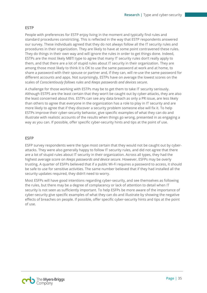#### **ESTP**

People with preferences for ESTP enjoy living in the moment and typically find rules and standard procedures constricting. This is reflected in the way that ESTP respondents answered our survey. These individuals agreed that they do not always follow all the IT security rules and procedures in their organization. They are likely to have at some point contravened these rules. They do things in their own way and will ignore the rules in order to get things done. Indeed, ESTPs are the most likely MBTI type to agree that many IT security rules don't really apply to them, and that there are a lot of stupid rules about IT security in their organization. They are among those most likely to think it is OK to use the same password at work and at home, to share a password with their spouse or partner and, if they can, will re-use the same password for different accounts and apps. Not surprisingly, ESTPs have on average the lowest scores on the scales of *Conscientiously follows rules* and *Keeps passwords and devices secure*.

A challenge for those working with ESTPs may be to get them to take IT security seriously. Although ESTPS are the least certain that they won't be caught out by cyber-attacks, they are also the least concerned about this. ESTPs can see any data breach as only a PR issue, are less likely than others to agree that everyone in the organization has a role to play in IT security and are more likely to agree that if they discover a security problem someone else will fix it. To help ESTPs improve their cyber-security behavior, give specific examples of what they can do and illustrate with realistic accounts of the results when things go wrong, presented in as engaging a way as you can. If possible, offer specific cyber-security hints and tips at the point of use.

#### **ESFP**

ESFP survey respondents were the type most certain that they would not be caught out by cyberattacks. They were also generally happy to follow IT security rules, and did not agree that there are a lot of stupid rules about IT security in their organization. Across all types, they had the highest average score on *Keeps passwords and device secure*. However, ESFPs may be overly trusting. A quarter of ESFPs believed that if a public Wi-Fi requires a password to access, it should be safe to use for sensitive activities. The same number believed that if they had installed all the security updates required, they didn't need to worry.

Most ESFPs will have good intentions regarding cyber-security, and see themselves as following the rules, but there may be a degree of complacency or lack of attention to detail when IT security is not seen as sufficiently important. To help ESFPs be more aware of the importance of cyber-security give specific examples of what they can do and illustrate by showing the negative effects of breaches on people. If possible, offer specific cyber-security hints and tips at the point of use.

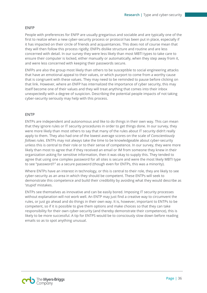#### **ENFP**

People with preferences for ENFP are usually gregarious and sociable and are typically one of the first to realize when a new cyber-security process or protocol has been put in place, especially if it has impacted on their circle of friends and acquaintances. This does not of course mean that they will then follow this process rigidly; ENFPs dislike structure and routine and are less concerned with detail. In our survey they were less likely than most MBTI types to take care to ensure their computer is locked, either manually or automatically, when they step away from it, and were less concerned with keeping their passwords secure.

ENFPs are also the group most likely than others to be susceptible to social engineering attacks that have an emotional appeal to their values, or which purport to come from a worthy cause that is congruent with these values. They may need to be reminded to pause before clicking on that link. However, where an ENFP has internalized the importance of cyber security, this may itself become one of their values and they will treat anything that comes into their inbox unexpectedly with a degree of suspicion. Describing the potential people impacts of not taking cyber-security seriously may help with this process.

#### **ENTP**

ENTPs are independent and autonomous and like to do things in their own way. This can mean that they ignore rules or IT security procedures in order to get things done. In our survey, they were more likely than most others to say that many of the rules about IT security didn't really apply to them. They also had one of the lowest average scores on the scale of *Conscientiously follows rules*. ENTPs may not always take the time to be knowledgeable about cyber-security unless this is central to their role or to their sense of competence. In our survey, they were more likely than most to agree that if they received an email or IM from someone they knew in their organization asking for sensitive information, then it was okay to supply this. They tended to agree that using one complex password for all sites is secure and were the most likely MBTI type to see "password1" as a secure password (though even for ENTPs, this was a minority).

Where ENTPs have an interest in technology, or this is central to their role, they are likely to see cyber-security as an area in which they should be competent. These ENTPs will seek to demonstrate this competence and build their credibility by avoiding what they would describe as 'stupid' mistakes.

ENTPs see themselves as innovative and can be easily bored. Imposing IT security processes without explanation will not work well. An ENTP may just find a creative way to circumvent the rules, or just go ahead and do things in their own way. It is, however, important to ENTPs to be competent, so if it is possible to give them options and make choices so that they can take responsibility for their own cyber-security (and thereby demonstrate their competence), this is likely to be more successful. A tip for ENTPS would be to consciously slow down before reading emails so as to spot anything unusual.

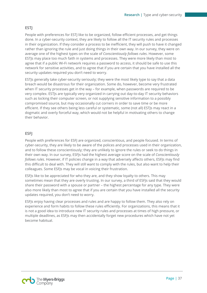#### **ESTJ**

People with preferences for ESTJ like to be organized, follow efficient processes, and get things done. In a cyber-security context, they are likely to follow all the IT security rules and processes in their organization. If they consider a process to be inefficient, they will push to have it changed rather than ignoring the rule and just doing things in their own way. In our survey, they were on average one of the highest types on the scale of *Conscientiously follows rules*. However, some ESTJs may place too much faith in systems and processes. They were more likely than most to agree that if a public Wi-Fi network requires a password to access, it should be safe to use this network for sensitive activities, and to agree that if you are certain that you have installed all the security updates required you don't need to worry.

ESTJs generally take cyber-security seriously; they were the most likely type to say that a data breach would be disastrous for their organization. Some do, however, become very frustrated when IT security processes get in the way – for example, when passwords are required to be very complex. ESTJs are typically very organized in carrying out day-to-day IT security behaviors such as locking their computer screen, or not supplying sensitive information to a possibly compromised source, but may occasionally cut corners in order to save time or be more efficient. If they see others being less careful or systematic, some (not all) ESTJs may react in a dogmatic and overly forceful way, which would not be helpful in motivating others to change their behavior.

#### **ESFJ**

People with preferences for ESFJ are organized, conscientious, and people focused. In terms of cyber-security, they are likely to be aware of the polices and processes used in their organization, and to follow these conscientiously; they are unlikely to ignore the rules or seek to do things in their own way. In our survey, ESFJs had the highest average score on the scale of *Conscientiously follows rules*. However, if IT policies change in a way that adversely affects others, ESFJs may find this difficult to deal with. They will still want to comply with the rules, but also want to help their colleagues. Some ESFJs may be vocal in voicing their frustration.

ESFJs like to be appreciated for who they are, and they show loyalty to others. This may sometimes mean that they are overly trusting. In our survey, a third of ESFJs said that they would share their password with a spouse or partner – the highest percentage for any type. They were also more likely than most to agree that if you are certain that you have installed all the security updates required, you don't need to worry.

ESFJs enjoy having clear processes and rules and are happy to follow them. They also rely on experience and form habits to follow these rules efficiently. For organizations, this means that it is not a good idea to introduce new IT security rules and processes at times of high pressure, or multiple deadlines, as ESFJs may then accidentally forget new procedures which have not yet become habitual.

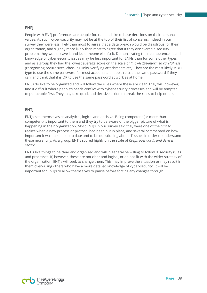#### **ENFJ**

People with ENFJ preferences are people-focused and like to base decisions on their personal values. As such, cyber-security may not be at the top of their list of concerns. Indeed in our survey they were less likely than most to agree that a data breach would be disastrous for their organization, and slightly more likely than most to agree that if they discovered a security problem, they would leave it and let someone else fix it. Demonstrating their competence in and knowledge of cyber-security issues may be less important for ENFJs than for some other types, and as a group they had the lowest average score on the scale of *Knowledge-informed carefulness* (recognizing secure sites, checking links, verifying attachments etc). They are the most likely MBTI type to use the same password for most accounts and apps, re-use the same password if they can, and think that it is OK to use the same password at work as at home.

ENFJs do like to be organized and will follow the rules where these are clear. They will, however, find it difficult where people's needs conflict with cyber-security processes and will be tempted to put people first. They may take quick and decisive action to break the rules to help others.

#### **ENTJ**

ENTJs see themselves as analytical, logical and decisive. Being competent (or more than competent) is important to them and they try to be aware of the bigger picture of what is happening in their organization. Most ENTJs in our survey said they were one of the first to realize when a new process or protocol had been put in place, and several commented on how important it was to keep up to date and to be questioning about IT issues in order to understand these more fully. As a group, ENTJs scored highly on the scale of *Keeps passwords and devices secure*.

ENTJs like things to be clear and organized and will in general be willing to follow IT security rules and processes. If, however, these are not clear and logical, or do not fit with the wider strategy of the organization, ENTJs will seek to change them. This may improve the situation or may result in them over-ruling others who have a more detailed knowledge of cyber-security. It will be important for ENTJs to allow themselves to pause before forcing any changes through.

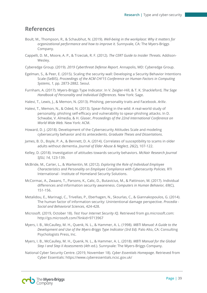### <span id="page-38-0"></span>**References**

- Boult, M., Thompson, R., & Schaubhut, N. (2019). *Well-being in the workplace: Why it matters for organizational performance and how to improve it.* Sunnyvale, CA: The Myers-Briggs Company.
- Cappelli, D. M., Moore, A. P., & Trzeciak, R. F. (2012). *The CERT Guide to Insider Threats.* Addison-Wesley.
- Cyberedge Group. (2019). *2019 Cyberthreat Defense Report.* Annapolis, MD: Cyberedge Group.
- Egelman, S., & Peer, E. (2015). Scaling the security wall: Developing a Security Behavior Intentions Scale (SeBIS). *Proceedings of the ACM CHI'15 Conference on Human Factors in Computing Systems*, *1*, pp. 2873-2882. Seoul.
- Furnham, A. (2017). Myers-Briggs Type Indicator. In V. Zeigler-Hill, & T. K. Shackleford, *The Sage Handbook of Personality and Individual Differences.* New York: Sage.
- Halevi, T., Lewis, J., & Memon, N. (2013). Phishing, personality traits and Facebook. *ArXiv*.
- Halevi, T., Memon, N., & Oded, N. (2013). Spear-fishing in the wild: A real-world study of personality, phishing self-efficacy and vulnerability to spear-phishing attacks. In D. Schwabe, V. Almedia, & H. Glaser, *Proceedings of the 22nd International Conference on World Wide Web.* New York: ACM.
- Howard, D. J. (2018). Development of the Cybersecurity Attitudes Scale and modeling cybersecurity behavior and its antecedents. *Graduate Theses and Dissertations*.
- James, B. D., Boyle, P. A., & Bennett, D. A. (2014). Correlates of susceptibility to scams in older adults without dementia. *Journal of Elder Abuse & Neglect, 26*(2), 107-122.
- Kelley, D. (2018). Investigation of attitudes towards security behaviors. *McNair Research Journal SJSU, 14*, 123-139.
- McBride, M., Carter, L., & Warkentin, M. (2012). *Exploring the Role of Individual Employee Characteristics and Personality on Employee Compliance with Cybersecurity Policies.* RTI International - Institute of Homeland Security Solutions.
- McCormac, A., Zwaans, T., Parsons, K., Calic, D., Butavicius, M., & Pattinson, M. (2017). Individual differences and information security awareness. *Computers in Human Behavior, 69*(C), 151-156.
- Metalidou, E., Marinagi, C., Trivellas, P., Eberhagen, N., Skourlas, C., & Giannakopoulos, G. (2014). The human factor of information security: Unintentional damage perspective. *Procedia - Social and Behavioral Sciences*, 424-428.
- Microsoft. (2019, October 18). *Test Your Internet Security IQ.* Retrieved from go.microsoft.com: http://go.microsoft.com/?linkid=9713967
- Myers, I. B., McCaulley, M. H., Quenk, N. L., & Hammer, A. L. (1998). *MBTI Manual: A Guide to the Development and Use of the Myers-Briggs Type Indicator (3rd Ed).* Palo Alto, CA: Consulting Psychologists Press, Inc.
- Myers, I. B., McCaulley, M. H., Quenk, N. L., & Hammer, A. L. (2018). *MBTI Manual for the Global Step I and Step II Assessments* (4th ed.). Sunnyvale: The Myers-Briggs Company.
- National Cyber Security Centre. (2019, November 18). *Cyber Essentials Homepage*. Retrieved from Cyber Essentials: https://www.cyberessentials.ncsc.gov.uk/

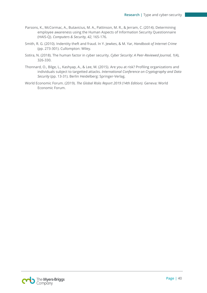- Parsons, K., McCormac, A., Butavicius, M. A., Pattinson, M. R., & Jerram, C. (2014). Determining employee awareness using the Human Aspects of Information Security Questionnaire (HAIS-Q). *Computers & Security, 42*, 165-176.
- Smith, R. G. (2010). Indentity theft and fraud. In Y. Jewkes, & M. Yar, *Handbook of Internet Crime* (pp. 273-301). Cullompton: Wiley.
- Sotira, N. (2018). The human factor in cyber security. *Cyber Security: A Peer-Reviewed Journal, 1*(4), 326-330.
- Thonnard, O., Bilge, L., Kashyap, A., & Lee, M. (2015). Are you at risk? Profiling organizations and individuals subject to targetted attacks. *International Conference on Cryptography and Data Security* (pp. 13-31). Berlin Heidelberg: Springer-Verlag.
- World Economic Forum. (2019). *The Global Risks Report 2019 (14th Edition).* Geneva: World Economic Forum.

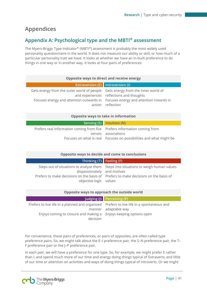## <span id="page-40-0"></span>**Appendices**

## <span id="page-40-1"></span>**Appendix A: Psychological type and the MBTI® assessment**

The Myers-Briggs Type Indicator® (MBTI®) assessment is probably the most widely used personality questionnaire in the world. It does not measure our ability or skill, or how much of a particular personality trait we have. It looks at whether we have an in-built preference to do things in one way or in another way. It looks at four pairs of preferences:

| <b>Opposite ways to direct and receive energy</b>                                                                                        |                                                                                                                       |  |  |
|------------------------------------------------------------------------------------------------------------------------------------------|-----------------------------------------------------------------------------------------------------------------------|--|--|
| <b>Extraversion (E)</b> Introversion (I)                                                                                                 |                                                                                                                       |  |  |
| Gets energy from the outer world of people<br>Focuses energy and attention outwards in Focuses energy and attention inwards in<br>action | Gets energy from the inner world of<br>and experiences reflections and thoughts<br>reflection                         |  |  |
|                                                                                                                                          | <b>Opposite ways to take in information</b>                                                                           |  |  |
| Sensing $(S)$                                                                                                                            | Intuition (N)                                                                                                         |  |  |
| Prefers real information coming from five<br>senses                                                                                      | Prefers information coming from<br>associations<br>Focuses on what is real Focuses on possibilities and what might be |  |  |

|  |  |  | <b>Opposite ways to decide and come to conclusions</b> |
|--|--|--|--------------------------------------------------------|
|--|--|--|--------------------------------------------------------|

| Thinking (T) Feeling (F)                              |                                                                                                                                                                            |
|-------------------------------------------------------|----------------------------------------------------------------------------------------------------------------------------------------------------------------------------|
| dispassionately and motives<br>objective logic values | Steps out of situations to analyze them Steps into situations to weigh human values<br>Prefers to make decisions on the basis of Prefers to make decisions on the basis of |
|                                                       |                                                                                                                                                                            |

|  |  | Opposite ways to approach the outside world |
|--|--|---------------------------------------------|
|--|--|---------------------------------------------|

|                                                                                           | Judging (J) Perceiving (P) |
|-------------------------------------------------------------------------------------------|----------------------------|
| Prefers to live life in a planned and organized Prefers to live life in a spontaneous and |                            |
|                                                                                           | manner adaptable way       |
| Enjoys coming to closure and making a Enjoys keeping options open                         |                            |
| decision                                                                                  |                            |

For convenience, these pairs of preferences, or pairs of opposites, are often called type preference pairs. So, we might talk about the E–I preference pair, the S–N preference pair, the T– F preference pair or the J–P preference pair.

In each pair, we will have a preference for one type. So, for example, we might prefer E rather than I, and spend much more of our time and energy doing things typical of Extraverts, and little of our time or attention on activities and ways of doing things typical of Introverts. Or we might

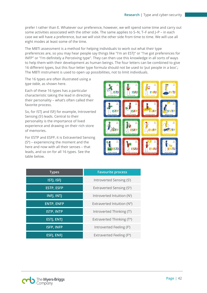prefer I rather than E. Whatever our preference, however, we will spend some time and carry out some activities associated with the other side. The same applies to S–N, T–F and J–P – in each case we will have a preference, but we will visit the other side from time to time. We will use all eight modes at least some of the time.

The MBTI assessment is a method for helping individuals to work out what their type preferences are, so you may hear people say things like "I'm an ESTJ" or "I've got preferences for INFP" or "I'm definitely a Perceiving type". They can then use this knowledge in all sorts of ways to help them with their development as human beings. The four letters can be combined to give 16 different types, but this four-letter type formula should not be used to 'put people in a box'.; The MBTI instrument is used to open up possibilities, not to limit individuals.

The 16 types are often illustrated using a *type table*, as shown here.

Each of these 16 types has a particular characteristic taking the lead in directing their personality – what's often called their favorite process.

So, for ISTJ and ISFJ for example, Introverted Sensing (S<sup>i</sup>) leads. Central to their personality is the importance of lived experience and drawing on their rich store of memories.

For ESTP and ESFP, it is Extraverted Sensing  $(S<sup>e</sup>)$  – experiencing the moment and the here and now with all their senses – that leads, and so on for all 16 types. See the table below.



| <b>Types</b>      | <b>Favourite process</b>                |
|-------------------|-----------------------------------------|
| ISTJ, ISFJ        | Introverted Sensing (Si)                |
| <b>ESTP, ESFP</b> | Extraverted Sensing (S <sup>e</sup> )   |
| INFJ, INTJ        | Introverted Intuition (N <sup>i</sup> ) |
| <b>ENTP, ENFP</b> | Extraverted Intuition ( $Ne$ )          |
| <b>ISTP, INTP</b> | Introverted Thinking (T <sup>i</sup> )  |
| ESTJ, ENTJ        | Extraverted Thinking (T <sup>e</sup> )  |
| <b>ISFP, INFP</b> | Introverted Feeling (Fi)                |
| <b>ESFI, ENFI</b> | Extraverted Feeling (F <sup>e</sup> )   |

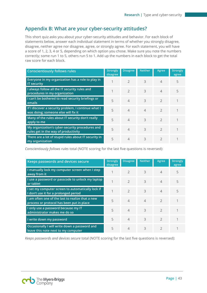### <span id="page-42-0"></span>**Appendix B: What are your cyber-security attitudes?**

This short quiz asks you about your cyber-security attitudes and behavior. For each block of statements below, answer each individual statement in terms of whether you strongly disagree, disagree, neither agree nor disagree, agree, or strongly agree. For each statement, you will have a score of 1, 2, 3, 4 or 5, depending on which option you chose. Make sure you note the numbers correctly; some run 1 to 5, others run 5 to 1. Add up the numbers in each block to get the total raw score for each block.

| <b>Conscientiously follows rules</b>                                                       | <b>Strongly</b><br>disagree | <b>Disagree</b> | <b>Neither</b> | Agree          | <b>Strongly</b><br>agree |
|--------------------------------------------------------------------------------------------|-----------------------------|-----------------|----------------|----------------|--------------------------|
| Everyone in my organization has a role to play in<br><b>IT security</b>                    |                             | $\mathcal{P}$   | 3              | $\overline{4}$ | 5                        |
| I always follow all the IT security rules and<br>procedures in my organization             | 1                           | $\mathcal{P}$   | 3              | $\Delta$       | 5                        |
| I can't be bothered to read security briefings or<br>emails                                | 5                           | $\overline{4}$  | 3              | $\mathcal{P}$  |                          |
| If I discover a security problem, I continue what I<br>was doing; someone else will fix it | 5                           | $\overline{4}$  | $\overline{4}$ | $\mathcal{P}$  |                          |
| Many of the rules about IT security don't really<br>apply to me                            | 5                           | $\overline{4}$  | 3              | $\mathcal{P}$  |                          |
| My organization's cyber-security procedures and<br>rules get in the way of productivity    | 5                           | $\overline{4}$  | 3              | $\mathcal{P}$  |                          |
| There are a lot of stupid rules about IT security in<br>my organization                    | 5                           | $\overline{4}$  | 3              | $\mathcal{P}$  |                          |

*Conscientiously follows rules* total (NOTE scoring for the last five questions is reversed):

| <b>Keeps passwords and devices secure</b>                                                     | <b>Strongly</b><br>disagree | <b>Disagree</b> | <b>Neither</b>           | Agree          | <b>Strongly</b><br>agree |
|-----------------------------------------------------------------------------------------------|-----------------------------|-----------------|--------------------------|----------------|--------------------------|
| I manually lock my computer screen when I step<br>away from it                                |                             | $\overline{2}$  | 3                        | $\overline{4}$ | 5                        |
| I use a password or passcode to unlock my laptop<br>or tablet                                 |                             | $\mathcal{P}$   | 3                        | $\overline{4}$ | 5                        |
| I set my computer screen to automatically lock if<br>I don't use it for a prolonged period    |                             | $\mathcal{P}$   | 3                        | $\overline{4}$ | 5                        |
| I am often one of the last to realize that a new<br>process or protocol has been put in place | 5                           | $\overline{4}$  | $\overline{\mathcal{A}}$ | $\mathcal{P}$  |                          |
| I only use a password because my IT<br>administrator makes me do so                           | 5                           | $\overline{4}$  | 3                        | $\mathcal{P}$  |                          |
| I write down my password                                                                      | 5                           | $\overline{4}$  | 3                        | $\mathcal{P}$  |                          |
| Occasionally I will write down a password and<br>leave this note next to my computer          | 5                           | 4               | 3                        | C              |                          |

*Keeps passwords and devices secure* total (NOTE scoring for the last five questions is reversed):

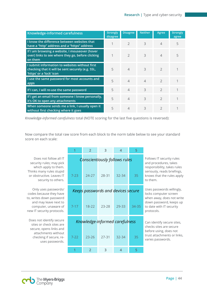| Knowledge-informed carefulness                                                                                                  | <b>Strongly</b><br>disagree | <b>Disagree</b>          | <b>Neither</b> | Agree          | <b>Strongly</b><br>agree |
|---------------------------------------------------------------------------------------------------------------------------------|-----------------------------|--------------------------|----------------|----------------|--------------------------|
| I know the difference between websites that<br>have a "http" address and a "https" address                                      |                             | $\overline{2}$           | 3              | $\overline{4}$ | 5                        |
| If I am browsing a website, I mouseover (hover<br>over) links to see where they go, before clicking<br>on them                  |                             | $\mathcal{P}$            | 3              | $\Delta$       | 5                        |
| I submit information to websites without first<br>checking that it will be sent securely (e.g. SSL,<br>'https' or a 'lock' icon | 5                           | $\overline{4}$           | 3              | $\mathcal{P}$  |                          |
| I use the same password for most accounts and<br>apps                                                                           | 5                           | $\overline{\mathcal{L}}$ | $\overline{4}$ | $\mathcal{P}$  |                          |
| If I can, I will re-use the same password                                                                                       | 5                           | $\Delta$                 | 3              | $\mathcal{P}$  |                          |
| If I get an email from someone I know personally,<br>it's OK to open any attachments                                            | 5                           | $\overline{4}$           | 3              | $\mathcal{P}$  |                          |
| When someone sends me a link, I usually open it<br>without first checking where it goes                                         | 5                           | $\overline{4}$           | 3              | $\mathcal{P}$  |                          |

*Knowledge-informed carefulness* total (NOTE scoring for the last five questions is reversed):

Now compare the total raw score from each block to the norm table below to see your standard score on each scale:

Does not follow all IT security rules; may pick which apply to them. Thinks many rules stupid or obstructive. Leaves IT security to others.

Only uses passwords/ codes because they have to, writes down password and may leave next to computer, unaware of new IT security protocols.

Does not identify secure sites or check sites are secure, opens links and attachments without checking if secure, reuses passwords.

|                  | 5     | 4     | 3                                  | 2         |          |
|------------------|-------|-------|------------------------------------|-----------|----------|
| Fol<br>an<br>res |       |       | Conscientiously follows rules      |           |          |
| ser<br>knı<br>to | 35    | 32-34 | 28-31                              | 24-27     | $7 - 23$ |
| Us<br>loc<br>wh  |       |       | Keeps passwords and devices secure |           |          |
| do<br>to<br>pro  | 34-35 | 29-33 | $23 - 28$                          | $18 - 22$ | $7 - 17$ |
| Ca<br>ch         |       |       | Knowledge-informed carefulness     |           |          |
| be<br>tru<br>val | 35    | 32-34 | $27 - 31$                          | $23 - 26$ | $7 - 22$ |
|                  |       |       |                                    |           |          |

**1 2 3 4 5**

**Ilows IT security rules** d procedures, takes sponsibility, takes rules riously, reads briefings, ows that the rules apply them.

es passwords willingly, ks computer screen en away, does not write wn password, keeps up date with IT security otocols.

n identify secure sites, ecks sites are secure fore using, does not ist attachments or links, ries passwords.

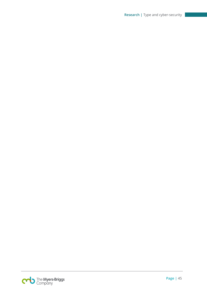